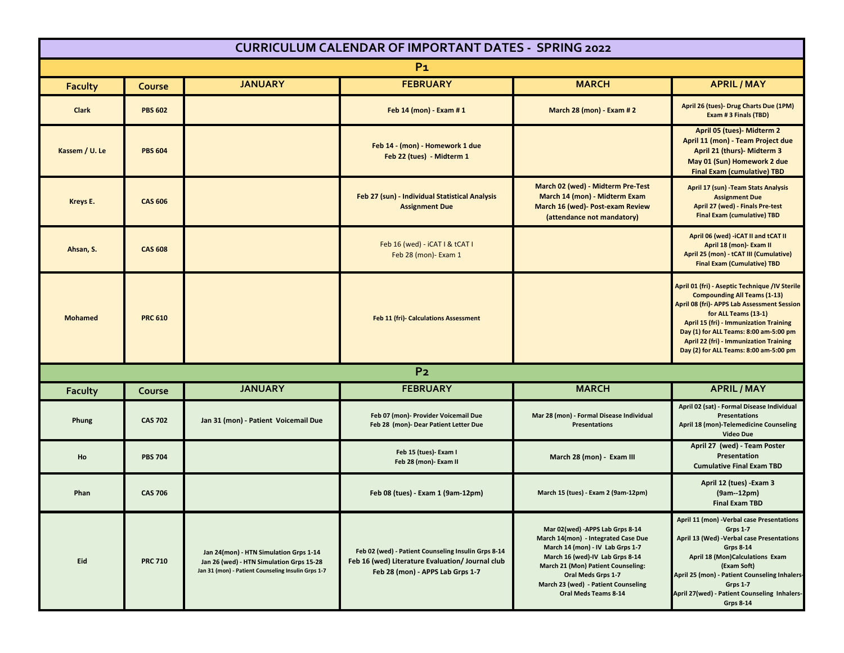| <b>CURRICULUM CALENDAR OF IMPORTANT DATES - SPRING 2022</b> |                |                                                                                                                                          |                                                                                                                                             |                                                                                                                                                                                                                                                                           |                                                                                                                                                                                                                                                                                                                                                    |  |  |  |  |
|-------------------------------------------------------------|----------------|------------------------------------------------------------------------------------------------------------------------------------------|---------------------------------------------------------------------------------------------------------------------------------------------|---------------------------------------------------------------------------------------------------------------------------------------------------------------------------------------------------------------------------------------------------------------------------|----------------------------------------------------------------------------------------------------------------------------------------------------------------------------------------------------------------------------------------------------------------------------------------------------------------------------------------------------|--|--|--|--|
| P <sub>1</sub>                                              |                |                                                                                                                                          |                                                                                                                                             |                                                                                                                                                                                                                                                                           |                                                                                                                                                                                                                                                                                                                                                    |  |  |  |  |
| <b>Faculty</b>                                              | Course         | <b>JANUARY</b>                                                                                                                           | <b>FEBRUARY</b>                                                                                                                             | <b>MARCH</b>                                                                                                                                                                                                                                                              | <b>APRIL/MAY</b>                                                                                                                                                                                                                                                                                                                                   |  |  |  |  |
| <b>Clark</b>                                                | <b>PBS 602</b> |                                                                                                                                          | Feb 14 (mon) - Exam # 1                                                                                                                     | <b>March 28 (mon) - Exam # 2</b>                                                                                                                                                                                                                                          | April 26 (tues)- Drug Charts Due (1PM)<br>Exam # 3 Finals (TBD)                                                                                                                                                                                                                                                                                    |  |  |  |  |
| Kassem / U. Le                                              | <b>PBS 604</b> |                                                                                                                                          | Feb 14 - (mon) - Homework 1 due<br>Feb 22 (tues) - Midterm 1                                                                                |                                                                                                                                                                                                                                                                           | April 05 (tues)- Midterm 2<br>April 11 (mon) - Team Project due<br>April 21 (thurs)- Midterm 3<br>May 01 (Sun) Homework 2 due<br><b>Final Exam (cumulative) TBD</b>                                                                                                                                                                                |  |  |  |  |
| Kreys E.                                                    | <b>CAS 606</b> |                                                                                                                                          | Feb 27 (sun) - Individual Statistical Analysis<br><b>Assignment Due</b>                                                                     | March 02 (wed) - Midterm Pre-Test<br>March 14 (mon) - Midterm Exam<br>March 16 (wed)- Post-exam Review<br>(attendance not mandatory)                                                                                                                                      | April 17 (sun) - Team Stats Analysis<br><b>Assignment Due</b><br>April 27 (wed) - Finals Pre-test<br><b>Final Exam (cumulative) TBD</b>                                                                                                                                                                                                            |  |  |  |  |
| Ahsan, S.                                                   | <b>CAS 608</b> |                                                                                                                                          | Feb 16 (wed) - iCAT I & tCAT I<br>Feb 28 (mon) - Exam 1                                                                                     |                                                                                                                                                                                                                                                                           | April 06 (wed) - iCAT II and tCAT II<br>April 18 (mon) - Exam II<br>April 25 (mon) - tCAT III (Cumulative)<br><b>Final Exam (Cumulative) TBD</b>                                                                                                                                                                                                   |  |  |  |  |
| <b>Mohamed</b>                                              | <b>PRC 610</b> |                                                                                                                                          | Feb 11 (fri)- Calculations Assessment                                                                                                       |                                                                                                                                                                                                                                                                           | April 01 (fri) - Aseptic Technique /IV Sterile<br><b>Compounding All Teams (1-13)</b><br>April 08 (fri)- APPS Lab Assessment Session<br>for ALL Teams (13-1)<br><b>April 15 (fri) - Immunization Training</b><br>Day (1) for ALL Teams: 8:00 am-5:00 pm<br><b>April 22 (fri) - Immunization Training</b><br>Day (2) for ALL Teams: 8:00 am-5:00 pm |  |  |  |  |
| P <sub>2</sub>                                              |                |                                                                                                                                          |                                                                                                                                             |                                                                                                                                                                                                                                                                           |                                                                                                                                                                                                                                                                                                                                                    |  |  |  |  |
| Faculty                                                     | Course         | <b>JANUARY</b>                                                                                                                           | <b>FEBRUARY</b>                                                                                                                             | <b>MARCH</b>                                                                                                                                                                                                                                                              | <b>APRIL/MAY</b>                                                                                                                                                                                                                                                                                                                                   |  |  |  |  |
| Phung                                                       | <b>CAS 702</b> | Jan 31 (mon) - Patient Voicemail Due                                                                                                     | Feb 07 (mon)- Provider Voicemail Due<br>Feb 28 (mon)- Dear Patient Letter Due                                                               | Mar 28 (mon) - Formal Disease Individual<br><b>Presentations</b>                                                                                                                                                                                                          | April 02 (sat) - Formal Disease Individual<br><b>Presentations</b><br>April 18 (mon)-Telemedicine Counseling<br><b>Video Due</b>                                                                                                                                                                                                                   |  |  |  |  |
| Ho                                                          | <b>PBS 704</b> |                                                                                                                                          | Feb 15 (tues)- Exam I<br>Feb 28 (mon)- Exam II                                                                                              | March 28 (mon) - Exam III                                                                                                                                                                                                                                                 | April 27 (wed) - Team Poster<br>Presentation<br><b>Cumulative Final Exam TBD</b>                                                                                                                                                                                                                                                                   |  |  |  |  |
| Phan                                                        | <b>CAS 706</b> |                                                                                                                                          | Feb 08 (tues) - Exam 1 (9am-12pm)                                                                                                           | March 15 (tues) - Exam 2 (9am-12pm)                                                                                                                                                                                                                                       | April 12 (tues) - Exam 3<br>(9am--12pm)<br><b>Final Exam TBD</b>                                                                                                                                                                                                                                                                                   |  |  |  |  |
| Eid                                                         | <b>PRC 710</b> | Jan 24(mon) - HTN Simulation Grps 1-14<br>Jan 26 (wed) - HTN Simulation Grps 15-28<br>Jan 31 (mon) - Patient Counseling Insulin Grps 1-7 | Feb 02 (wed) - Patient Counseling Insulin Grps 8-14<br>Feb 16 (wed) Literature Evaluation/ Journal club<br>Feb 28 (mon) - APPS Lab Grps 1-7 | Mar 02(wed) - APPS Lab Grps 8-14<br>March 14(mon) - Integrated Case Due<br>March 14 (mon) - IV Lab Grps 1-7<br>March 16 (wed)-IV Lab Grps 8-14<br>March 21 (Mon) Patient Counseling:<br>Oral Meds Grps 1-7<br>March 23 (wed) - Patient Counseling<br>Oral Meds Teams 8-14 | April 11 (mon) -Verbal case Presentations<br><b>Grps 1-7</b><br>April 13 (Wed) - Verbal case Presentations<br><b>Grps 8-14</b><br>April 18 (Mon)Calculations Exam<br>(Exam Soft)<br>April 25 (mon) - Patient Counseling Inhalers-<br>Grps 1-7<br>April 27(wed) - Patient Counseling Inhalers-<br><b>Grps 8-14</b>                                  |  |  |  |  |